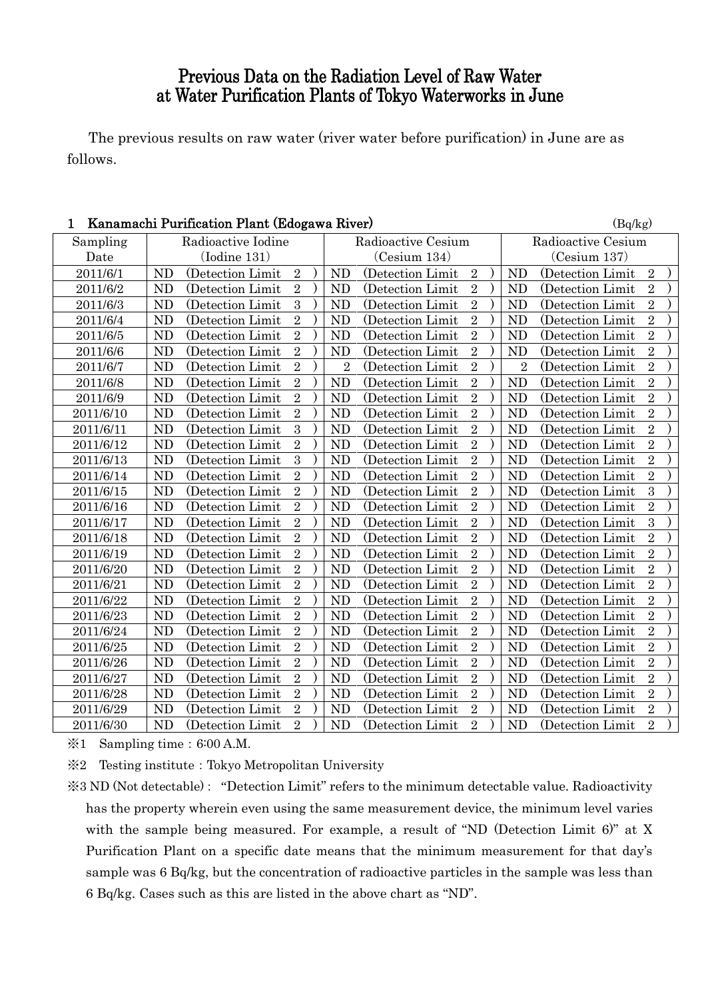## Previous Data on the Radiation Level of Raw Water at Water Purification Plants of Tokyo Waterworks in June

The previous results on raw water (river water before purification) in June are as follows.

| Sampling  | Radioactive Iodine | Radioactive Cesium | Radioactive Cesium |
|-----------|--------------------|--------------------|--------------------|
| Date      | $($ Iodine $131)$  | (Cesium 134)       | (Cesium 137)       |
| 2011/6/1  | (Detection Limit   | <b>ND</b>          | <b>ND</b>          |
|           | $\overline{2}$     | (Detection Limit   | (Detection Limit   |
|           | <b>ND</b>          | $\sqrt{2}$         | $\overline{2}$     |
| 2011/6/2  | $\overline{2}$     | $\overline{2}$     | $\overline{2}$     |
|           | <b>ND</b>          | <b>ND</b>          | N <sub>D</sub>     |
|           | (Detection Limit   | (Detection Limit   | (Detection Limit   |
| 2011/6/3  | 3                  | $\sqrt{2}$         | $\overline{2}$     |
|           | <b>ND</b>          | N <sub>D</sub>     | <b>ND</b>          |
|           | (Detection Limit   | (Detection Limit   | (Detection Limit   |
| 2011/6/4  | $\overline{2}$     | $\overline{2}$     | $\overline{2}$     |
|           | ND                 | <b>ND</b>          | ND                 |
|           | (Detection Limit   | (Detection Limit   | (Detection Limit   |
| 2011/6/5  | $\overline{2}$     | $\overline{2}$     | $\overline{2}$     |
|           | <b>ND</b>          | N <sub>D</sub>     | <b>ND</b>          |
|           | (Detection Limit   | (Detection Limit   | (Detection Limit)  |
| 2011/6/6  | <b>ND</b>          | $\overline{2}$     | $\overline{2}$     |
|           | $\overline{2}$     | N <sub>D</sub>     | <b>ND</b>          |
|           | (Detection Limit)  | (Detection Limit)  | (Detection Limit   |
| 2011/6/7  | $\overline{2}$     | $\overline{2}$     | $\overline{2}$     |
|           | <b>ND</b>          | $\overline{2}$     | $\overline{2}$     |
|           | (Detection Limit   | (Detection Limit)  | (Detection Limit)  |
| 2011/6/8  | $\overline{2}$     | $\overline{2}$     | $\overline{2}$     |
|           | ND                 | <b>ND</b>          | <b>ND</b>          |
|           | (Detection Limit)  | (Detection Limit)  | (Detection Limit)  |
| 2011/6/9  | $\overline{2}$     | $\overline{2}$     | $\overline{2}$     |
|           | <b>ND</b>          | (Detection Limit   | <b>ND</b>          |
|           | (Detection Limit)  | N <sub>D</sub>     | (Detection Limit   |
| 2011/6/10 | <b>ND</b>          | $\,2$              | N <sub>D</sub>     |
|           | $\overline{2}$     | <b>ND</b>          | $\overline{2}$     |
|           | (Detection Limit   | (Detection Limit   | (Detection Limit   |
| 2011/6/11 | 3                  | $\overline{2}$     | $\overline{2}$     |
|           | $\rm ND$           | <b>ND</b>          | <b>ND</b>          |
|           | (Detection Limit   | (Detection Limit   | (Detection Limit   |
| 2011/6/12 | $\overline{2}$     | $\overline{2}$     | $\overline{2}$     |
|           | <b>ND</b>          | <b>ND</b>          | <b>ND</b>          |
|           | (Detection Limit   | (Detection Limit   | (Detection Limit   |
| 2011/6/13 | $\overline{3}$     | $\overline{2}$     | $\overline{2}$     |
|           | <b>ND</b>          | <b>ND</b>          | <b>ND</b>          |
|           | (Detection Limit   | (Detection Limit   | (Detection Limit   |
| 2011/6/14 | $\overline{2}$     | $\overline{2}$     | $\overline{2}$     |
|           | <b>ND</b>          | <b>ND</b>          | N <sub>D</sub>     |
|           | (Detection Limit   | (Detection Limit   | (Detection Limit   |
| 2011/6/15 | $\overline{2}$     | $\overline{2}$     | $\overline{3}$     |
|           | ND                 | <b>ND</b>          | N <sub>D</sub>     |
|           | (Detection Limit   | (Detection Limit   | (Detection Limit   |
| 2011/6/16 | $\overline{2}$     | $\sqrt{2}$         | $\overline{2}$     |
|           | <b>ND</b>          | <b>ND</b>          | N <sub>D</sub>     |
|           | (Detection Limit   | (Detection Limit   | (Detection Limit   |
| 2011/6/17 | $\overline{2}$     | $\overline{2}$     | $\overline{3}$     |
|           | ND                 | <b>ND</b>          | N <sub>D</sub>     |
|           | (Detection Limit   | (Detection Limit   | (Detection Limit   |
| 2011/6/18 | $\overline{2}$     | $\overline{2}$     | $\overline{2}$     |
|           | <b>ND</b>          | N <sub>D</sub>     | <b>ND</b>          |
|           | (Detection Limit   | (Detection Limit   | (Detection Limit)  |
| 2011/6/19 | $\overline{2}$     | $\overline{2}$     | $\overline{2}$     |
|           | <b>ND</b>          | N <sub>D</sub>     | <b>ND</b>          |
|           | (Detection Limit)  | (Detection Limit   | (Detection Limit)  |
| 2011/6/20 | $\overline{2}$     | $\overline{2}$     | $\overline{2}$     |
|           | <b>ND</b>          | (Detection Limit   | <b>ND</b>          |
|           | (Detection Limit   | <b>ND</b>          | (Detection Limit   |
| 2011/6/21 | $\overline{2}$     | $\overline{2}$     | $\overline{2}$     |
|           | <b>ND</b>          | <b>ND</b>          | <b>ND</b>          |
|           | (Detection Limit   | (Detection Limit)  | (Detection Limit)  |
| 2011/6/22 | $\overline{2}$     | $\overline{2}$     | $\overline{2}$     |
|           | <b>ND</b>          | N <sub>D</sub>     | <b>ND</b>          |
|           | (Detection Limit   | (Detection Limit)  | (Detection Limit   |
| 2011/6/23 | $\overline{2}$     | $\overline{2}$     | $\overline{2}$     |
|           | <b>ND</b>          | <b>ND</b>          | <b>ND</b>          |
|           | (Detection Limit)  | (Detection Limit   | (Detection Limit   |
| 2011/6/24 | $\overline{2}$     | $\overline{2}$     | $\overline{2}$     |
|           | <b>ND</b>          | <b>ND</b>          | <b>ND</b>          |
|           | (Detection Limit   | (Detection Limit   | (Detection Limit   |
| 2011/6/25 | $\overline{2}$     | $\sqrt{2}$         | $\overline{2}$     |
|           | <b>ND</b>          | <b>ND</b>          | <b>ND</b>          |
|           | (Detection Limit)  | (Detection Limit   | (Detection Limit)  |
| 2011/6/26 | $\overline{2}$     | $\overline{2}$     | $\overline{2}$     |
|           | <b>ND</b>          | <b>ND</b>          | ND                 |
|           | (Detection Limit   | (Detection Limit   | (Detection Limit   |
| 2011/6/27 | $\overline{2}$     | $\overline{2}$     | $\overline{2}$     |
|           | <b>ND</b>          | <b>ND</b>          | N <sub>D</sub>     |
|           | (Detection Limit   | (Detection Limit   | (Detection Limit   |
| 2011/6/28 | $\overline{2}$     | $\overline{2}$     | $\overline{2}$     |
|           | ND                 | <b>ND</b>          | <b>ND</b>          |
|           | (Detection Limit   | (Detection Limit   | (Detection Limit   |
| 2011/6/29 | $\overline{2}$     | $\sqrt{2}$         | N <sub>D</sub>     |
|           | <b>ND</b>          | <b>ND</b>          | $\overline{2}$     |
|           | (Detection Limit)  | (Detection Limit   | (Detection Limit)  |
| 2011/6/30 | $\overline{2}$     | $\overline{2}$     | $\overline{2}$     |
|           | <b>ND</b>          | <b>ND</b>          | <b>ND</b>          |
|           | (Detection Limit)  | (Detection Limit)  | (Detection Limit   |

## 1 Kanamachi Purification Plant (Edogawa River) (Bq/kg)

※1 Sampling time:6:00 A.M.

※2 Testing institute:Tokyo Metropolitan University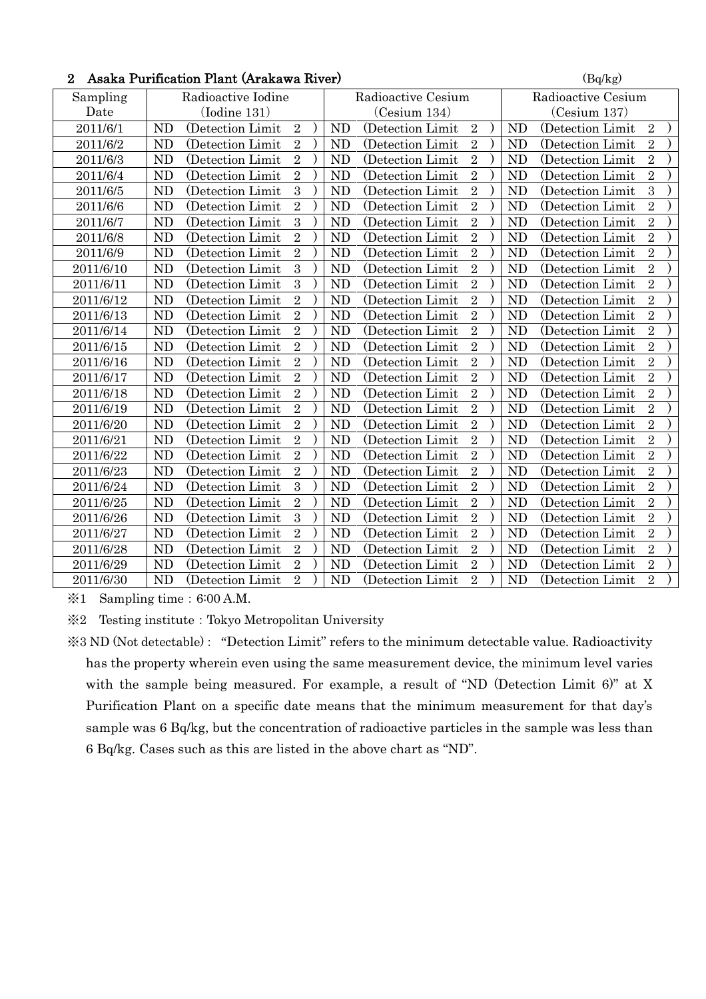| $\overline{2}$ | Asaka Purification Plant (Arakawa River) |                    | (Bq/kg)            |
|----------------|------------------------------------------|--------------------|--------------------|
| Sampling       | Radioactive Iodine                       | Radioactive Cesium | Radioactive Cesium |
| Date           | $($ Iodine 131 $)$                       | (Cesium 134)       | (Cesium 137)       |
| 2011/6/1       | <b>ND</b>                                | $\overline{2}$     | ND                 |
|                | $\overline{2}$                           | <b>ND</b>          | $\overline{2}$     |
|                | (Detection Limit)                        | (Detection Limit)  | (Detection Limit)  |
| 2011/6/2       | $\overline{2}$                           | $\overline{2}$     | $\overline{2}$     |
|                | <b>ND</b>                                | <b>ND</b>          | <b>ND</b>          |
|                | (Detection Limit)                        | (Detection Limit)  | (Detection Limit)  |
| 2011/6/3       | $\overline{2}$                           | $\overline{2}$     | $\overline{2}$     |
|                | <b>ND</b>                                | N <sub>D</sub>     | ND                 |
|                | (Detection Limit                         | (Detection Limit)  | (Detection Limit)  |
| 2011/6/4       | $\overline{2}$                           | $\overline{2}$     | $\overline{2}$     |
|                | <b>ND</b>                                | N <sub>D</sub>     | N <sub>D</sub>     |
|                | (Detection Limit                         | (Detection Limit)  | (Detection Limit)  |
| 2011/6/5       | 3                                        | $\overline{2}$     | $\overline{3}$     |
|                | <b>ND</b>                                | <b>ND</b>          | ND                 |
|                | (Detection Limit                         | (Detection Limit)  | (Detection Limit   |
| 2011/6/6       | $\overline{2}$                           | $\sqrt{2}$         | $\overline{2}$     |
|                | <b>ND</b>                                | <b>ND</b>          | <b>ND</b>          |
|                | (Detection Limit)                        | (Detection Limit)  | (Detection Limit)  |
| 2011/6/7       | 3                                        | $\overline{2}$     | $\overline{2}$     |
|                | <b>ND</b>                                | <b>ND</b>          | ND                 |
|                | (Detection Limit                         | (Detection Limit)  | (Detection Limit)  |
| 2011/6/8       | $\overline{2}$                           | $\overline{2}$     | $\overline{2}$     |
|                | <b>ND</b>                                | N <sub>D</sub>     | N <sub>D</sub>     |
|                | (Detection Limit                         | (Detection Limit   | (Detection Limit   |
| 2011/6/9       | $\overline{2}$                           | $\overline{2}$     | $\overline{2}$     |
|                | <b>ND</b>                                | <b>ND</b>          | ND                 |
|                | (Detection Limit)                        | (Detection Limit)  | (Detection Limit)  |
| 2011/6/10      | $\mathbf{3}$                             | $\sqrt{2}$         | $\sqrt{2}$         |
|                | <b>ND</b>                                | N <sub>D</sub>     | ND                 |
|                | (Detection Limit                         | (Detection Limit)  | (Detection Limit)  |
| 2011/6/11      | 3                                        | $\overline{2}$     | $\overline{2}$     |
|                | <b>ND</b>                                | <b>ND</b>          | ND                 |
|                | (Detection Limit)                        | (Detection Limit)  | (Detection Limit)  |
| 2011/6/12      | $\overline{2}$                           | $\overline{2}$     | $\overline{2}$     |
|                | <b>ND</b>                                | <b>ND</b>          | ND                 |
|                | (Detection Limit                         | (Detection Limit)  | (Detection Limit)  |
| 2011/6/13      | $\overline{2}$                           | $\overline{2}$     | $\overline{2}$     |
|                | ND                                       | <b>ND</b>          | <b>ND</b>          |
|                | (Detection Limit                         | (Detection Limit)  | (Detection Limit)  |
| 2011/6/14      | $\sqrt{2}$                               | $\overline{2}$     | $\overline{2}$     |
|                | <b>ND</b>                                | <b>ND</b>          | <b>ND</b>          |
|                | (Detection Limit)                        | (Detection Limit)  | (Detection Limit)  |
| 2011/6/15      | $\overline{2}$                           | $\overline{2}$     | $\overline{2}$     |
|                | <b>ND</b>                                | <b>ND</b>          | <b>ND</b>          |
|                | (Detection Limit)                        | (Detection Limit)  | (Detection Limit)  |
| 2011/6/16      | $\overline{2}$                           | $\overline{2}$     | $\overline{2}$     |
|                | ND                                       | <b>ND</b>          | ND                 |
|                | (Detection Limit)                        | (Detection Limit)  | (Detection Limit)  |
| 2011/6/17      | $\overline{2}$                           | $\overline{2}$     | $\overline{2}$     |
|                | <b>ND</b>                                | <b>ND</b>          | <b>ND</b>          |
|                | (Detection Limit)                        | (Detection Limit)  | (Detection Limit)  |
| 2011/6/18      | $\overline{2}$                           | $\overline{2}$     | $\overline{2}$     |
|                | <b>ND</b>                                | <b>ND</b>          | ND                 |
|                | (Detection Limit)                        | (Detection Limit)  | (Detection Limit)  |
| 2011/6/19      | $\overline{2}$                           | $\overline{2}$     | $\overline{2}$     |
|                | <b>ND</b>                                | N <sub>D</sub>     | ND                 |
|                | (Detection Limit                         | (Detection Limit)  | (Detection Limit   |
| 2011/6/20      | $\overline{2}$                           | $\overline{2}$     | $\overline{2}$     |
|                | <b>ND</b>                                | <b>ND</b>          | ND                 |
|                | (Detection Limit                         | (Detection Limit)  | (Detection Limit   |
| 2011/6/21      | $\overline{2}$                           | $\sqrt{2}$         | $\overline{2}$     |
|                | <b>ND</b>                                | <b>ND</b>          | <b>ND</b>          |
|                | (Detection Limit)                        | (Detection Limit)  | (Detection Limit)  |
| 2011/6/22      | $\overline{2}$                           | $\overline{2}$     | $\sqrt{2}$         |
|                | <b>ND</b>                                | <b>ND</b>          | ND                 |
|                | (Detection Limit                         | (Detection Limit)  | (Detection Limit)  |
| 2011/6/23      | $\overline{2}$                           | $\overline{2}$     | $\overline{2}$     |
|                | <b>ND</b>                                | N <sub>D</sub>     | N <sub>D</sub>     |
|                | (Detection Limit                         | (Detection Limit)  | (Detection Limit   |
| 2011/6/24      | 3                                        | $\overline{2}$     | $\overline{2}$     |
|                | ND                                       | <b>ND</b>          | <b>ND</b>          |
|                | (Detection Limit                         | (Detection Limit)  | (Detection Limit)  |
| 2011/6/25      | $\sqrt{2}$                               | $\sqrt{2}$         | $\sqrt{2}$         |
|                | <b>ND</b>                                | <b>ND</b>          | ND                 |
|                | (Detection Limit)                        | (Detection Limit)  | (Detection Limit)  |
| 2011/6/26      | $\mathbf{3}$                             | $\overline{2}$     | $\overline{2}$     |
|                | <b>ND</b>                                | <b>ND</b>          | ND                 |
|                | (Detection Limit)                        | (Detection Limit)  | (Detection Limit)  |
| 2011/6/27      | $\overline{2}$                           | $\overline{2}$     | $\overline{2}$     |
|                | <b>ND</b>                                | <b>ND</b>          | <b>ND</b>          |
|                | (Detection Limit                         | (Detection Limit)  | (Detection Limit)  |
| 2011/6/28      | $\overline{2}$                           | $\overline{2}$     | $\overline{2}$     |
|                | <b>ND</b>                                | <b>ND</b>          | <b>ND</b>          |
|                | (Detection Limit)                        | (Detection Limit)  | (Detection Limit)  |
| 2011/6/29      | <b>ND</b>                                | $\boldsymbol{2}$   | $\sqrt{2}$         |
|                | $\sqrt{2}$                               | N <sub>D</sub>     | ND                 |
|                | (Detection Limit)                        | (Detection Limit)  | (Detection Limit)  |
| 2011/6/30      | $\overline{2}$                           | $\overline{2}$     | $\overline{2}$     |
|                | <b>ND</b>                                | <b>ND</b>          | <b>ND</b>          |
|                | (Detection Limit)                        | (Detection Limit)  | (Detection Limit   |

 $\text{\%}1$  Sampling time: 6:00 A.M.

※2 Testing institute:Tokyo Metropolitan University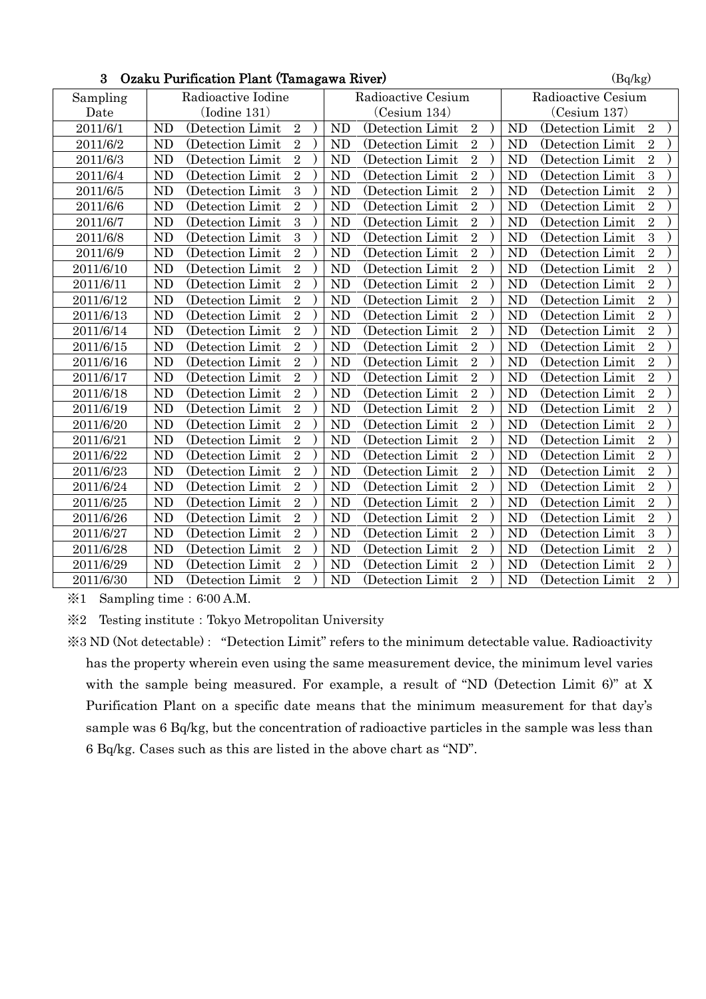|           | 5 - Ozaku Furnication Fiant (Tamagawa Kiver) |                    | (Dq/kg)            |
|-----------|----------------------------------------------|--------------------|--------------------|
| Sampling  | Radioactive Iodine                           | Radioactive Cesium | Radioactive Cesium |
| Date      | (Iodine 131)                                 | (Cesium 134)       | (Cesium 137)       |
| 2011/6/1  | <b>ND</b>                                    | <b>ND</b>          | <b>ND</b>          |
|           | (Detection Limit                             | (Detection Limit   | (Detection Limit   |
|           | $\sqrt{2}$                                   | $\sqrt{2}$         | $\sqrt{2}$         |
| 2011/6/2  | ND                                           | $\sqrt{2}$         | $\overline{2}$     |
|           | $\overline{2}$                               | <b>ND</b>          | <b>ND</b>          |
|           | (Detection Limit                             | (Detection Limit   | (Detection Limit)  |
| 2011/6/3  | $\overline{2}$                               | $\overline{2}$     | $\overline{2}$     |
|           | ND                                           | <b>ND</b>          | <b>ND</b>          |
|           | (Detection Limit                             | (Detection Limit   | (Detection Limit   |
| 2011/6/4  | $\overline{2}$                               | $\overline{2}$     | $\overline{3}$     |
|           | ND                                           | <b>ND</b>          | <b>ND</b>          |
|           | (Detection Limit                             | (Detection Limit   | (Detection Limit   |
| 2011/6/5  | 3                                            | $\overline{2}$     | $\overline{2}$     |
|           | <b>ND</b>                                    | <b>ND</b>          | <b>ND</b>          |
|           | (Detection Limit                             | (Detection Limit   | (Detection Limit)  |
| 2011/6/6  | $\overline{2}$                               | $\overline{2}$     | $\overline{2}$     |
|           | N <sub>D</sub>                               | <b>ND</b>          | <b>ND</b>          |
|           | (Detection Limit                             | (Detection Limit   | (Detection Limit   |
| 2011/6/7  | 3                                            | $\overline{2}$     | $\overline{2}$     |
|           | N <sub>D</sub>                               | <b>ND</b>          | <b>ND</b>          |
|           | (Detection Limit                             | (Detection Limit   | (Detection Limit   |
| 2011/6/8  | 3                                            | $\overline{2}$     | $\overline{3}$     |
|           | ND                                           | <b>ND</b>          | <b>ND</b>          |
|           | (Detection Limit                             | (Detection Limit)  | (Detection Limit   |
| 2011/6/9  | $\overline{2}$                               | $\overline{2}$     | $\overline{2}$     |
|           | ND                                           | <b>ND</b>          | <b>ND</b>          |
|           | (Detection Limit                             | (Detection Limit   | (Detection Limit   |
| 2011/6/10 | $\overline{2}$                               | $\overline{2}$     | $\overline{2}$     |
|           | <b>ND</b>                                    | N <sub>D</sub>     | <b>ND</b>          |
|           | (Detection Limit)                            | (Detection Limit   | (Detection Limit)  |
| 2011/6/11 | $\overline{2}$                               | $\overline{2}$     | $\overline{2}$     |
|           | <b>ND</b>                                    | <b>ND</b>          | <b>ND</b>          |
|           | (Detection Limit                             | (Detection Limit   | (Detection Limit)  |
| 2011/6/12 | N <sub>D</sub>                               | $\sqrt{2}$         | $\overline{2}$     |
|           | $\overline{2}$                               | N <sub>D</sub>     | N <sub>D</sub>     |
|           | (Detection Limit                             | (Detection Limit   | (Detection Limit)  |
| 2011/6/13 | $\overline{2}$                               | $\overline{2}$     | $\overline{2}$     |
|           | ND                                           | <b>ND</b>          | <b>ND</b>          |
|           | (Detection Limit)                            | (Detection Limit)  | (Detection Limit)  |
| 2011/6/14 | $\overline{2}$                               | $\overline{2}$     | $\overline{2}$     |
|           | ND                                           | N <sub>D</sub>     | <b>ND</b>          |
|           | (Detection Limit                             | (Detection Limit)  | (Detection Limit   |
| 2011/6/15 | $\overline{2}$                               | $\sqrt{2}$         | $\overline{2}$     |
|           | <b>ND</b>                                    | <b>ND</b>          | <b>ND</b>          |
|           | (Detection Limit)                            | (Detection Limit   | (Detection Limit)  |
| 2011/6/16 | $\overline{2}$                               | $\overline{2}$     | $\overline{2}$     |
|           | ND                                           | N <sub>D</sub>     | <b>ND</b>          |
|           | (Detection Limit                             | (Detection Limit   | (Detection Limit   |
| 2011/6/17 | $\overline{2}$                               | $\overline{2}$     | $\overline{2}$     |
|           | <b>ND</b>                                    | <b>ND</b>          | <b>ND</b>          |
|           | (Detection Limit)                            | (Detection Limit)  | (Detection Limit)  |
| 2011/6/18 | $\overline{2}$                               | $\overline{2}$     | $\overline{2}$     |
|           | <b>ND</b>                                    | <b>ND</b>          | <b>ND</b>          |
|           | (Detection Limit)                            | (Detection Limit   | (Detection Limit)  |
| 2011/6/19 | <b>ND</b>                                    | $\overline{2}$     | $\sqrt{2}$         |
|           | $\overline{2}$                               | <b>ND</b>          | <b>ND</b>          |
|           | (Detection Limit                             | (Detection Limit   | (Detection Limit   |
| 2011/6/20 | $\overline{2}$                               | $\overline{2}$     | $\overline{2}$     |
|           | ND                                           | <b>ND</b>          | <b>ND</b>          |
|           | (Detection Limit)                            | (Detection Limit)  | (Detection Limit)  |
| 2011/6/21 | $\overline{2}$                               | $\overline{2}$     | $\overline{2}$     |
|           | ND                                           | <b>ND</b>          | <b>ND</b>          |
|           | (Detection Limit)                            | (Detection Limit)  | (Detection Limit)  |
| 2011/6/22 | <b>ND</b>                                    | $\sqrt{2}$         | $\sqrt{2}$         |
|           | $\overline{2}$                               | N <sub>D</sub>     | <b>ND</b>          |
|           | (Detection Limit                             | (Detection Limit)  | (Detection Limit)  |
| 2011/6/23 | $\overline{2}$                               | $\overline{2}$     | $\overline{2}$     |
|           | ND                                           | N <sub>D</sub>     | <b>ND</b>          |
|           | (Detection Limit                             | (Detection Limit   | (Detection Limit)  |
| 2011/6/24 | $\overline{2}$                               | $\overline{2}$     | $\overline{2}$     |
|           | <b>ND</b>                                    | <b>ND</b>          | <b>ND</b>          |
|           | (Detection Limit)                            | (Detection Limit)  | (Detection Limit)  |
| 2011/6/25 | $\overline{2}$                               | $\sqrt{2}$         | $\sqrt{2}$         |
|           | <b>ND</b>                                    | <b>ND</b>          | <b>ND</b>          |
|           | (Detection Limit                             | (Detection Limit   | (Detection Limit)  |
| 2011/6/26 | $\overline{2}$                               | $\overline{2}$     | $\overline{2}$     |
|           | <b>ND</b>                                    | <b>ND</b>          | <b>ND</b>          |
|           | (Detection Limit                             | (Detection Limit   | (Detection Limit   |
| 2011/6/27 | $\overline{2}$                               | $\overline{2}$     | $\overline{3}$     |
|           | <b>ND</b>                                    | N <sub>D</sub>     | ND                 |
|           | (Detection Limit)                            | (Detection Limit)  | (Detection Limit)  |
| 2011/6/28 | $\overline{2}$                               | $\overline{2}$     | $\overline{2}$     |
|           | ND                                           | <b>ND</b>          | <b>ND</b>          |
|           | (Detection Limit                             | (Detection Limit   | (Detection Limit   |
| 2011/6/29 | <b>ND</b>                                    | $\overline{2}$     | $\sqrt{2}$         |
|           | $\overline{2}$                               | <b>ND</b>          | <b>ND</b>          |
|           | (Detection Limit)                            | (Detection Limit)  | (Detection Limit)  |
| 2011/6/30 | $\overline{2}$                               | $\overline{2}$     | $\overline{2}$     |
|           | <b>ND</b>                                    | <b>ND</b>          | <b>ND</b>          |
|           | (Detection Limit)                            | (Detection Limit)  | (Detection Limit)  |

## $3$  Ozaku Purification Plant (Tamagawa River) (Bq/kg)

 $\text{\%}1$  Sampling time: 6:00 A.M.

※2 Testing institute:Tokyo Metropolitan University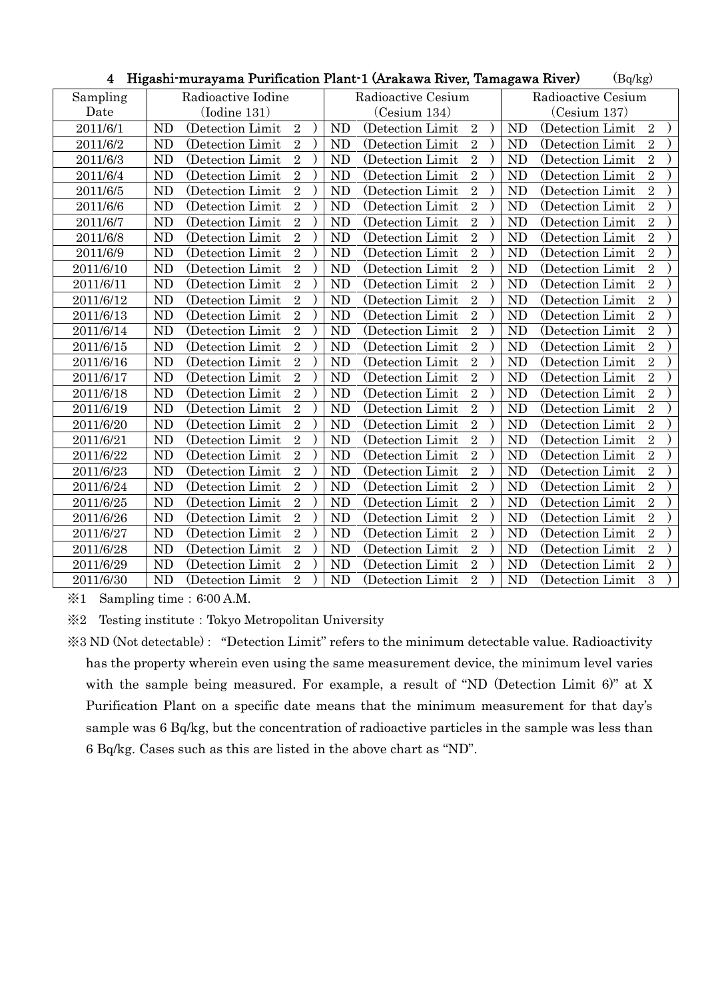|           |                    | - Filgashi-murayama Furilication Fiant-I (Arakawa Kiver, Tamagawa Kiver) | (DQ/Kg)            |
|-----------|--------------------|--------------------------------------------------------------------------|--------------------|
| Sampling  | Radioactive Iodine | Radioactive Cesium                                                       | Radioactive Cesium |
| Date      | $($ Iodine 131 $)$ | (Cesium 134)                                                             | (Cesium 137)       |
| 2011/6/1  | (Detection Limit   | <b>ND</b>                                                                | <b>ND</b>          |
|           | <b>ND</b>          | (Detection Limit)                                                        | (Detection Limit   |
|           | $\sqrt{2}$         | $\overline{2}$                                                           | $\overline{2}$     |
| 2011/6/2  | ND                 | $\overline{2}$                                                           | $\overline{2}$     |
|           | $\overline{2}$     | <b>ND</b>                                                                | ND                 |
|           | (Detection Limit   | (Detection Limit)                                                        | (Detection Limit)  |
| 2011/6/3  | $\overline{2}$     | $\overline{2}$                                                           | $\overline{2}$     |
|           | ND                 | <b>ND</b>                                                                | <b>ND</b>          |
|           | (Detection Limit)  | (Detection Limit)                                                        | (Detection Limit)  |
| 2011/6/4  | $\overline{2}$     | $\sqrt{2}$                                                               | $\overline{2}$     |
|           | <b>ND</b>          | <b>ND</b>                                                                | <b>ND</b>          |
|           | (Detection Limit)  | (Detection Limit)                                                        | (Detection Limit   |
| 2011/6/5  | ND                 | $\overline{2}$                                                           | $\sqrt{2}$         |
|           | $\overline{2}$     | N <sub>D</sub>                                                           | N <sub>D</sub>     |
|           | (Detection Limit)  | (Detection Limit)                                                        | (Detection Limit)  |
| 2011/6/6  | $\overline{2}$     | $\overline{2}$                                                           | $\overline{2}$     |
|           | ND                 | <b>ND</b>                                                                | <b>ND</b>          |
|           | (Detection Limit)  | (Detection Limit)                                                        | (Detection Limit)  |
| 2011/6/7  | $\overline{2}$     | $\overline{2}$                                                           | $\overline{2}$     |
|           | ND                 | <b>ND</b>                                                                | <b>ND</b>          |
|           | (Detection Limit)  | (Detection Limit)                                                        | (Detection Limit)  |
| 2011/6/8  | $\overline{2}$     | $\overline{2}$                                                           | $\overline{2}$     |
|           | ND                 | <b>ND</b>                                                                | <b>ND</b>          |
|           | (Detection Limit)  | (Detection Limit)                                                        | (Detection Limit)  |
| 2011/6/9  | $\overline{2}$     | $\overline{2}$                                                           | $\overline{2}$     |
|           | ND                 | <b>ND</b>                                                                | <b>ND</b>          |
|           | (Detection Limit   | (Detection Limit)                                                        | (Detection Limit   |
| 2011/6/10 | $\overline{2}$     | $\overline{2}$                                                           | $\sqrt{2}$         |
|           | ND                 | N <sub>D</sub>                                                           | <b>ND</b>          |
|           | (Detection Limit   | (Detection Limit)                                                        | (Detection Limit)  |
| 2011/6/11 | $\overline{2}$     | $\overline{2}$                                                           | $\overline{2}$     |
|           | <b>ND</b>          | <b>ND</b>                                                                | <b>ND</b>          |
|           | (Detection Limit)  | (Detection Limit)                                                        | (Detection Limit)  |
| 2011/6/12 | $\overline{2}$     | $\sqrt{2}$                                                               | $\overline{2}$     |
|           | ND                 | <b>ND</b>                                                                | <b>ND</b>          |
|           | (Detection Limit   | (Detection Limit)                                                        | (Detection Limit)  |
| 2011/6/13 | $\overline{2}$     | $\overline{2}$                                                           | $\overline{2}$     |
|           | ND                 | <b>ND</b>                                                                | <b>ND</b>          |
|           | (Detection Limit)  | (Detection Limit)                                                        | (Detection Limit   |
| 2011/6/14 | $\overline{2}$     | $\overline{2}$                                                           | $\overline{2}$     |
|           | ND                 | <b>ND</b>                                                                | <b>ND</b>          |
|           | (Detection Limit   | (Detection Limit)                                                        | (Detection Limit   |
| 2011/6/15 | $\overline{2}$     | $\overline{2}$                                                           | $\overline{2}$     |
|           | ND                 | <b>ND</b>                                                                | <b>ND</b>          |
|           | (Detection Limit)  | (Detection Limit)                                                        | (Detection Limit)  |
| 2011/6/16 | $\overline{2}$     | $\overline{2}$                                                           | $\overline{2}$     |
|           | ND                 | <b>ND</b>                                                                | <b>ND</b>          |
|           | (Detection Limit   | (Detection Limit                                                         | (Detection Limit   |
| 2011/6/17 | $\overline{2}$     | $\overline{2}$                                                           | $\sqrt{2}$         |
|           | ND                 | N <sub>D</sub>                                                           | <b>ND</b>          |
|           | (Detection Limit)  | (Detection Limit)                                                        | (Detection Limit)  |
| 2011/6/18 | $\overline{2}$     | $\sqrt{2}$                                                               | $\sqrt{2}$         |
|           | <b>ND</b>          | <b>ND</b>                                                                | <b>ND</b>          |
|           | (Detection Limit)  | (Detection Limit)                                                        | (Detection Limit)  |
| 2011/6/19 | $\overline{2}$     | $\overline{2}$                                                           | $\overline{2}$     |
|           | ND                 | (Detection Limit                                                         | <b>ND</b>          |
|           | (Detection Limit   | <b>ND</b>                                                                | (Detection Limit   |
| 2011/6/20 | $\overline{2}$     | $\overline{2}$                                                           | $\overline{2}$     |
|           | ND                 | <b>ND</b>                                                                | <b>ND</b>          |
|           | (Detection Limit)  | (Detection Limit)                                                        | (Detection Limit)  |
| 2011/6/21 | $\overline{2}$     | $\overline{2}$                                                           | $\overline{2}$     |
|           | ND                 | <b>ND</b>                                                                | <b>ND</b>          |
|           | (Detection Limit)  | (Detection Limit)                                                        | (Detection Limit)  |
| 2011/6/22 | $\sqrt{2}$         | $\overline{2}$                                                           | $\sqrt{2}$         |
|           | ND                 | <b>ND</b>                                                                | <b>ND</b>          |
|           | (Detection Limit   | (Detection Limit)                                                        | (Detection Limit)  |
| 2011/6/23 | $\overline{2}$     | $\overline{2}$                                                           | $\overline{2}$     |
|           | ND                 | <b>ND</b>                                                                | <b>ND</b>          |
|           | (Detection Limit)  | (Detection Limit)                                                        | (Detection Limit)  |
| 2011/6/24 | $\overline{2}$     | $\overline{2}$                                                           | $\overline{2}$     |
|           | ND                 | <b>ND</b>                                                                | <b>ND</b>          |
|           | (Detection Limit)  | (Detection Limit)                                                        | (Detection Limit)  |
| 2011/6/25 | $\overline{2}$     | $\sqrt{2}$                                                               | $\overline{2}$     |
|           | ND                 | <b>ND</b>                                                                | <b>ND</b>          |
|           | (Detection Limit)  | (Detection Limit)                                                        | (Detection Limit)  |
| 2011/6/26 | ND                 | $\overline{2}$                                                           | $\overline{2}$     |
|           | $\overline{2}$     | <b>ND</b>                                                                | <b>ND</b>          |
|           | (Detection Limit   | (Detection Limit)                                                        | (Detection Limit)  |
| 2011/6/27 | $\overline{2}$     | $\overline{2}$                                                           | $\overline{2}$     |
|           | ND                 | <b>ND</b>                                                                | <b>ND</b>          |
|           | (Detection Limit)  | (Detection Limit)                                                        | (Detection Limit)  |
| 2011/6/28 | $\overline{2}$     | $\overline{2}$                                                           | $\overline{2}$     |
|           | ND                 | <b>ND</b>                                                                | <b>ND</b>          |
|           | (Detection Limit)  | (Detection Limit)                                                        | (Detection Limit)  |
| 2011/6/29 | ND                 | <b>ND</b>                                                                | $\overline{2}$     |
|           | $\overline{2}$     | $\overline{2}$                                                           | <b>ND</b>          |
|           | (Detection Limit)  | (Detection Limit)                                                        | (Detection Limit)  |
| 2011/6/30 | $\overline{2}$     | $\overline{2}$                                                           | 3                  |
|           | <b>ND</b>          | <b>ND</b>                                                                | <b>ND</b>          |
|           | (Detection Limit)  | (Detection Limit)                                                        | (Detection Limit)  |

 $\mathbf{H}$ igashi-murayama Purification Plant-1 (Arakawa Piyar, Tamagawa Piyar) (Bq/kg)

※1 Sampling time:6:00 A.M.

※2 Testing institute:Tokyo Metropolitan University